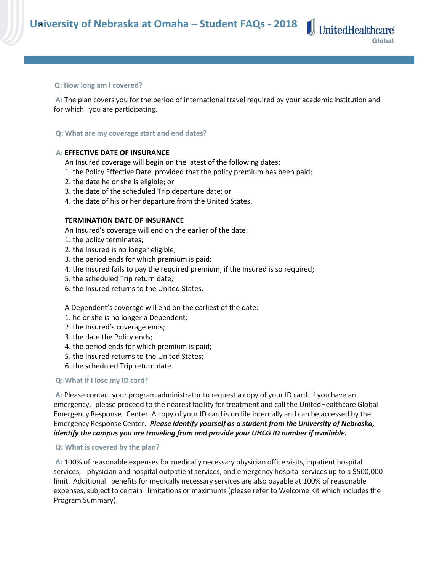### **Q: How long am I covered?**

**A:** The plan covers you for the period of international travel required by your academic institution and for which you are participating.

# **Q: What are my coverage start and end dates?**

# **A: EFFECTIVE DATE OF INSURANCE**

An Insured coverage will begin on the latest of the following dates:

- 1. the Policy Effective Date, provided that the policy premium has been paid;
- 2. the date he or she is eligible; or
- 3. the date of the scheduled Trip departure date; or
- 4. the date of his or her departure from the United States.

# **TERMINATION DATE OF INSURANCE**

An Insured's coverage will end on the earlier of the date:

- 1. the policy terminates;
- 2. the Insured is no longer eligible;
- 3. the period ends for which premium is paid;
- 4. the Insured fails to pay the required premium, if the Insured is so required;
- 5. the scheduled Trip return date;
- 6. the Insured returns to the United States.

A Dependent's coverage will end on the earliest of the date:

- 1. he or she is no longer a Dependent;
- 2. the Insured's coverage ends;
- 3. the date the Policy ends;
- 4. the period ends for which premium is paid;
- 5. the Insured returns to the United States;
- 6. the scheduled Trip return date.

# **Q: What if I lose my ID card?**

**A:** Please contact your program administrator to request a copy of your ID card. If you have an emergency, please proceed to the nearest facility for treatment and call the UnitedHealthcare Global Emergency Response Center. A copy of your ID card is on file internally and can be accessed by the Emergency Response Center. *Please identify yourself as a student from the University of Nebraska, identify the campus you are traveling from and provide your UHCG ID number if available.*

# **Q: What is covered by the plan?**

**A:** 100% of reasonable expenses for medically necessary physician office visits, inpatient hospital services, physician and hospital outpatient services, and emergency hospital services up to a \$500,000 limit. Additional benefits for medically necessary services are also payable at 100% of reasonable expenses, subject to certain limitations or maximums(please refer to Welcome Kit which includes the Program Summary).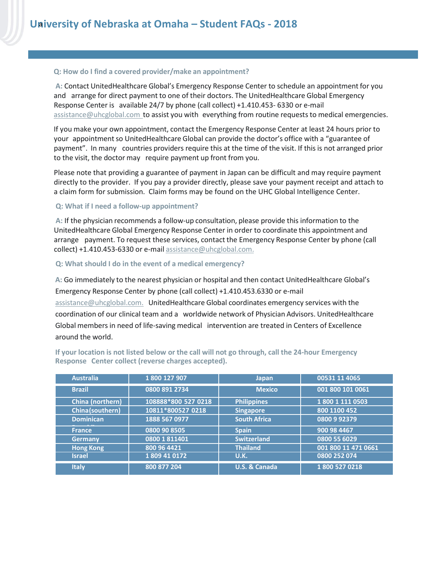### **Q: How do I find a covered provider/make an appointment?**

**A:** Contact UnitedHealthcare Global's Emergency Response Center to schedule an appointment for you and arrange for direct payment to one of their doctors. The UnitedHealthcare Global Emergency Response Center is available 24/7 by phone (call collect) +1.410.453- 6330 or e-mail [assistance@uhcglobal.com](mailto:assistance@uhcglobal.com) to assist you with everything from routine requests to medical emergencies.

If you make your own appointment, contact the Emergency Response Center at least 24 hours prior to your appointment so UnitedHealthcare Global can provide the doctor's office with a "guarantee of payment". In many countries providers require this at the time of the visit. If this is not arranged prior to the visit, the doctor may require payment up front from you.

Please note that providing a guarantee of payment in Japan can be difficult and may require payment directly to the provider. If you pay a provider directly, please save your payment receipt and attach to a claim form for submission. Claim forms may be found on the UHC Global Intelligence Center.

#### **Q: What if I need a follow-up appointment?**

**A:** If the physician recommends a follow-up consultation, please provide this information to the UnitedHealthcare Global Emergency Response Center in order to coordinate this appointment and arrange payment. To request these services, contact the Emergency Response Center by phone (call collect) +1.410.453-6330 or e-mail [assistance@uhcglobal.com.](mailto:assistance@uhcglobal.com)

### **Q: What should I do in the event of a medical emergency?**

**A:** Go immediately to the nearest physician or hospital and then contact UnitedHealthcare Global's Emergency Response Center by phone (call collect) +1.410.453.6330 or e-mail [assistance@uhcglobal.com.](mailto:assistance@uhcglobal.com) UnitedHealthcare Global coordinates emergency services with the coordination of our clinical team and a worldwide network of Physician Advisors. UnitedHealthcare

Global members in need of life-saving medical intervention are treated in Centers of Excellence around the world.

| <b>Australia</b> | 1800 127 907        | <b>Japan</b>             | 00531 11 4065       |
|------------------|---------------------|--------------------------|---------------------|
| <b>Brazil</b>    | 0800 891 2734       | <b>Mexico</b>            | 001 800 101 0061    |
| China (northern) | 108888*800 527 0218 | <b>Philippines</b>       | 1800 1 111 0503     |
| China(southern)  | 10811*800527 0218   | <b>Singapore</b>         | 800 1100 452        |
| <b>Dominican</b> | 1888 567 0977       | <b>South Africa</b>      | 0800992379          |
| France,          | 0800 90 8505        | <b>Spain</b>             | 900 98 4467         |
| <b>Germany</b>   | 0800 1 811401       | <b>Switzerland</b>       | 0800 55 6029        |
| <b>Hong Kong</b> | 800 96 4421         | <b>Thailand</b>          | 001 800 11 471 0661 |
| <b>Israel</b>    | 1809 41 0172        | <b>U.K.</b>              | 0800 252 074        |
| <b>Italy</b>     | 800 877 204         | <b>U.S. &amp; Canada</b> | 1800 527 0218       |

**If your location is not listed below or the call will not go through, call the 24-hour Emergency Response Center collect (reverse charges accepted).**